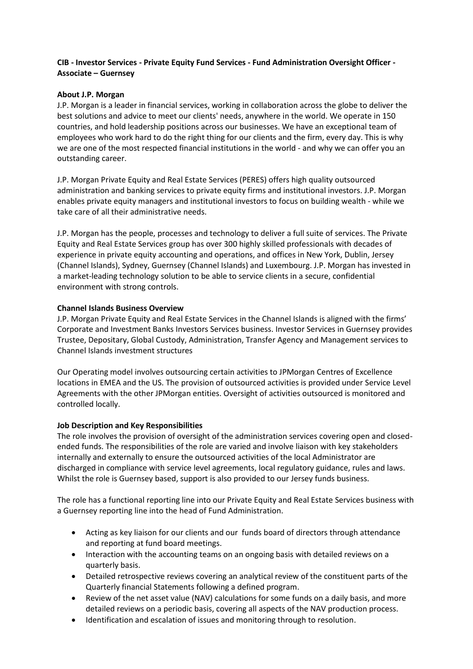# **CIB - Investor Services - Private Equity Fund Services - Fund Administration Oversight Officer - Associate – Guernsey**

## **About J.P. Morgan**

J.P. Morgan is a leader in financial services, working in collaboration across the globe to deliver the best solutions and advice to meet our clients' needs, anywhere in the world. We operate in 150 countries, and hold leadership positions across our businesses. We have an exceptional team of employees who work hard to do the right thing for our clients and the firm, every day. This is why we are one of the most respected financial institutions in the world - and why we can offer you an outstanding career.

J.P. Morgan Private Equity and Real Estate Services (PERES) offers high quality outsourced administration and banking services to private equity firms and institutional investors. J.P. Morgan enables private equity managers and institutional investors to focus on building wealth - while we take care of all their administrative needs.

J.P. Morgan has the people, processes and technology to deliver a full suite of services. The Private Equity and Real Estate Services group has over 300 highly skilled professionals with decades of experience in private equity accounting and operations, and offices in New York, Dublin, Jersey (Channel Islands), Sydney, Guernsey (Channel Islands) and Luxembourg. J.P. Morgan has invested in a market-leading technology solution to be able to service clients in a secure, confidential environment with strong controls.

### **Channel Islands Business Overview**

J.P. Morgan Private Equity and Real Estate Services in the Channel Islands is aligned with the firms' Corporate and Investment Banks Investors Services business. Investor Services in Guernsey provides Trustee, Depositary, Global Custody, Administration, Transfer Agency and Management services to Channel Islands investment structures

Our Operating model involves outsourcing certain activities to JPMorgan Centres of Excellence locations in EMEA and the US. The provision of outsourced activities is provided under Service Level Agreements with the other JPMorgan entities. Oversight of activities outsourced is monitored and controlled locally.

# **Job Description and Key Responsibilities**

The role involves the provision of oversight of the administration services covering open and closedended funds. The responsibilities of the role are varied and involve liaison with key stakeholders internally and externally to ensure the outsourced activities of the local Administrator are discharged in compliance with service level agreements, local regulatory guidance, rules and laws. Whilst the role is Guernsey based, support is also provided to our Jersey funds business.

The role has a functional reporting line into our Private Equity and Real Estate Services business with a Guernsey reporting line into the head of Fund Administration.

- Acting as key liaison for our clients and our funds board of directors through attendance and reporting at fund board meetings.
- Interaction with the accounting teams on an ongoing basis with detailed reviews on a quarterly basis.
- Detailed retrospective reviews covering an analytical review of the constituent parts of the Quarterly financial Statements following a defined program.
- Review of the net asset value (NAV) calculations for some funds on a daily basis, and more detailed reviews on a periodic basis, covering all aspects of the NAV production process.
- Identification and escalation of issues and monitoring through to resolution.